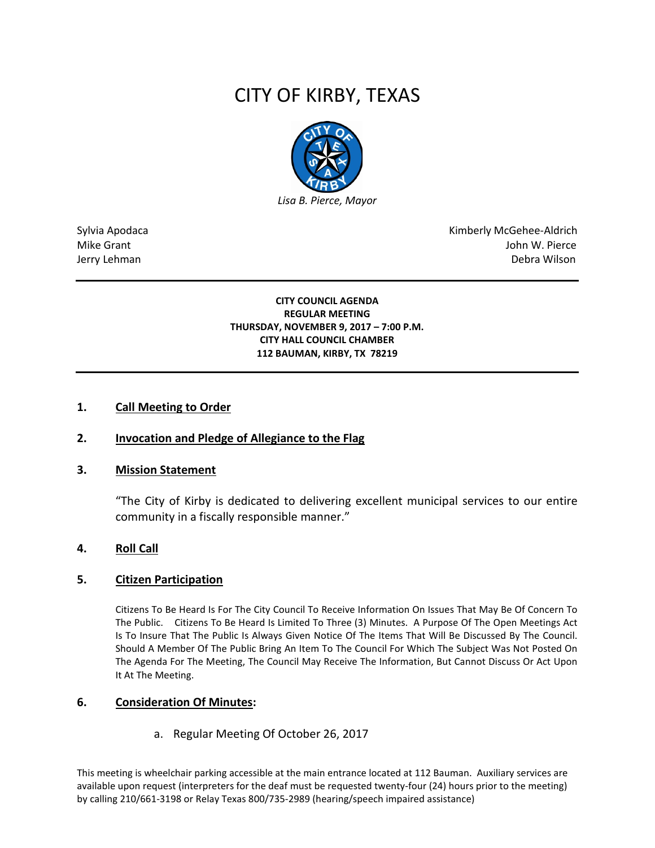# CITY OF KIRBY, TEXAS



Sylvia Apodaca National Apodaca Kimberly McGehee-Aldrich Mike Grant John W. Pierce Jerry Lehman Debra Wilson (2008) and the state of the state of the state of the state of the state of the state of the state of the state of the state of the state of the state of the state of the state of the state of the

#### **CITY COUNCIL AGENDA REGULAR MEETING THURSDAY, NOVEMBER 9, 2017 – 7:00 P.M. CITY HALL COUNCIL CHAMBER 112 BAUMAN, KIRBY, TX 78219**

#### **1. Call Meeting to Order**

## **2. Invocation and Pledge of Allegiance to the Flag**

#### **3. Mission Statement**

"The City of Kirby is dedicated to delivering excellent municipal services to our entire community in a fiscally responsible manner."

#### **4. Roll Call**

#### **5. Citizen Participation**

Citizens To Be Heard Is For The City Council To Receive Information On Issues That May Be Of Concern To The Public. Citizens To Be Heard Is Limited To Three (3) Minutes. A Purpose Of The Open Meetings Act Is To Insure That The Public Is Always Given Notice Of The Items That Will Be Discussed By The Council. Should A Member Of The Public Bring An Item To The Council For Which The Subject Was Not Posted On The Agenda For The Meeting, The Council May Receive The Information, But Cannot Discuss Or Act Upon It At The Meeting.

#### **6. Consideration Of Minutes:**

a. Regular Meeting Of October 26, 2017

This meeting is wheelchair parking accessible at the main entrance located at 112 Bauman. Auxiliary services are available upon request (interpreters for the deaf must be requested twenty-four (24) hours prior to the meeting) by calling 210/661-3198 or Relay Texas 800/735-2989 (hearing/speech impaired assistance)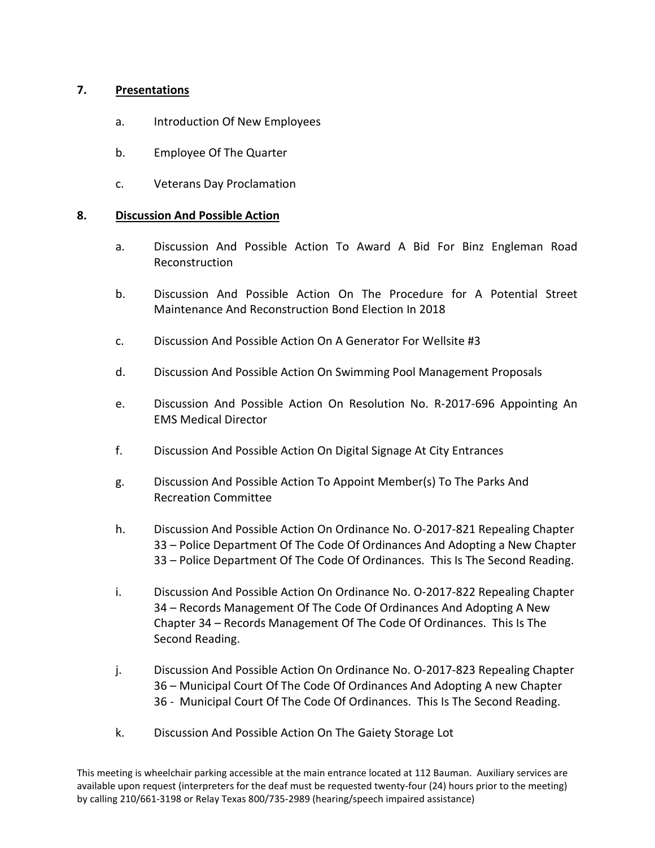# **7. Presentations**

- a. Introduction Of New Employees
- b. Employee Of The Quarter
- c. Veterans Day Proclamation

## **8. Discussion And Possible Action**

- a. Discussion And Possible Action To Award A Bid For Binz Engleman Road Reconstruction
- b. Discussion And Possible Action On The Procedure for A Potential Street Maintenance And Reconstruction Bond Election In 2018
- c. Discussion And Possible Action On A Generator For Wellsite #3
- d. Discussion And Possible Action On Swimming Pool Management Proposals
- e. Discussion And Possible Action On Resolution No. R-2017-696 Appointing An EMS Medical Director
- f. Discussion And Possible Action On Digital Signage At City Entrances
- g. Discussion And Possible Action To Appoint Member(s) To The Parks And Recreation Committee
- h. Discussion And Possible Action On Ordinance No. O-2017-821 Repealing Chapter 33 – Police Department Of The Code Of Ordinances And Adopting a New Chapter 33 – Police Department Of The Code Of Ordinances. This Is The Second Reading.
- i. Discussion And Possible Action On Ordinance No. O-2017-822 Repealing Chapter 34 – Records Management Of The Code Of Ordinances And Adopting A New Chapter 34 – Records Management Of The Code Of Ordinances. This Is The Second Reading.
- j. Discussion And Possible Action On Ordinance No. O-2017-823 Repealing Chapter 36 – Municipal Court Of The Code Of Ordinances And Adopting A new Chapter 36 - Municipal Court Of The Code Of Ordinances. This Is The Second Reading.
- k. Discussion And Possible Action On The Gaiety Storage Lot

This meeting is wheelchair parking accessible at the main entrance located at 112 Bauman. Auxiliary services are available upon request (interpreters for the deaf must be requested twenty-four (24) hours prior to the meeting) by calling 210/661-3198 or Relay Texas 800/735-2989 (hearing/speech impaired assistance)